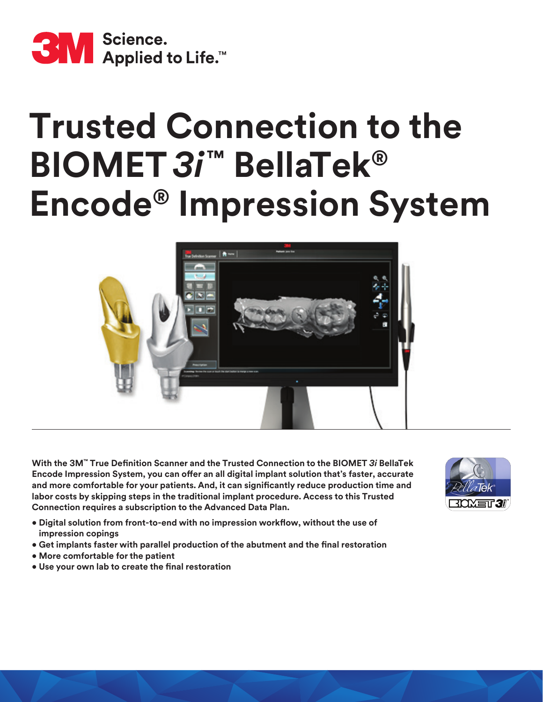

# **Trusted Connection to the BIOMET** *3i***™ BellaTek® Encode® Impression System**



**With the 3M™ True Definition Scanner and the Trusted Connection to the BIOMET** *3i* **BellaTek Encode Impression System, you can offer an all digital implant solution that's faster, accurate and more comfortable for your patients. And, it can significantly reduce production time and labor costs by skipping steps in the traditional implant procedure. Access to this Trusted Connection requires a subscription to the Advanced Data Plan.**

- **Digital solution from front-to-end with no impression workflow, without the use of impression copings**
- **Get implants faster with parallel production of the abutment and the final restoration**
- **More comfortable for the patient**
- **Use your own lab to create the final restoration**